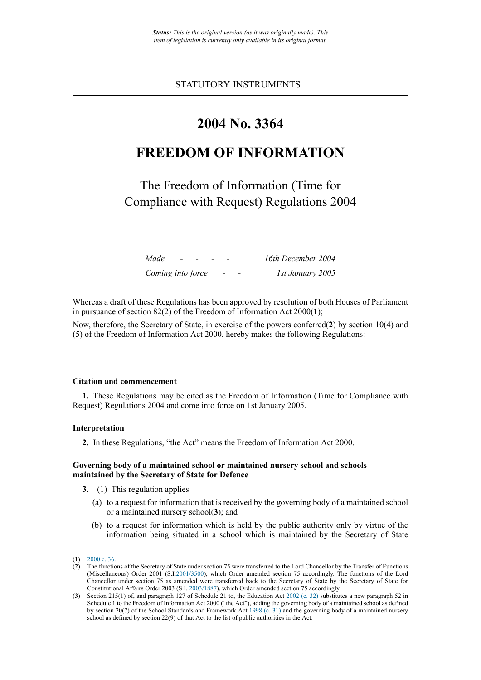STATUTORY INSTRUMENTS

# **2004 No. 3364**

# **FREEDOM OF INFORMATION**

The Freedom of Information (Time for Compliance with Request) Regulations 2004

| Made              | $\sim$ |  |                          |                          | 16th December 2004 |
|-------------------|--------|--|--------------------------|--------------------------|--------------------|
| Coming into force |        |  | $\overline{\phantom{0}}$ | $\overline{\phantom{0}}$ | 1st January 2005   |

Whereas a draft of these Regulations has been approved by resolution of both Houses of Parliament in pursuance of section 82(2) of the Freedom of Information Act 2000(**1**);

Now, therefore, the Secretary of State, in exercise of the powers conferred(**2**) by section 10(4) and (5) of the Freedom of Information Act 2000, hereby makes the following Regulations:

## **Citation and commencement**

**1.** These Regulations may be cited as the Freedom of Information (Time for Compliance with Request) Regulations 2004 and come into force on 1st January 2005.

### **Interpretation**

**2.** In these Regulations, "the Act" means the Freedom of Information Act 2000.

### **Governing body of a maintained school or maintained nursery school and schools maintained by the Secretary of State for Defence**

**3.**—(1) This regulation applies–

- (a) to a request for information that is received by the governing body of a maintained school or a maintained nursery school(**3**); and
- (b) to a request for information which is held by the public authority only by virtue of the information being situated in a school which is maintained by the Secretary of State

<sup>(</sup>**1**) [2000 c. 36.](http://www.legislation.gov.uk/id/ukpga/2000/36)

<sup>(</sup>**2**) The functions of the Secretary of State under section 75 were transferred to the Lord Chancellor by the Transfer of Functions (Miscellaneous) Order 2001 (S.I[.2001/3500](http://www.legislation.gov.uk/id/uksi/2001/3500)), which Order amended section 75 accordingly. The functions of the Lord Chancellor under section 75 as amended were transferred back to the Secretary of State by the Secretary of State for Constitutional Affairs Order 2003 (S.I. [2003/1887](http://www.legislation.gov.uk/id/uksi/2003/1887)), which Order amended section 75 accordingly.

<sup>(</sup>**3**) Section 215(1) of, and paragraph 127 of Schedule 21 to, the Education Act [2002 \(c. 32\)](http://www.legislation.gov.uk/id/ukpga/2002/32) substitutes a new paragraph 52 in Schedule 1 to the Freedom of Information Act 2000 ("the Act"), adding the governing body of a maintained school as defined by section 20(7) of the School Standards and Framework Act [1998 \(c. 31\)](http://www.legislation.gov.uk/id/ukpga/1998/31) and the governing body of a maintained nursery school as defined by section 22(9) of that Act to the list of public authorities in the Act.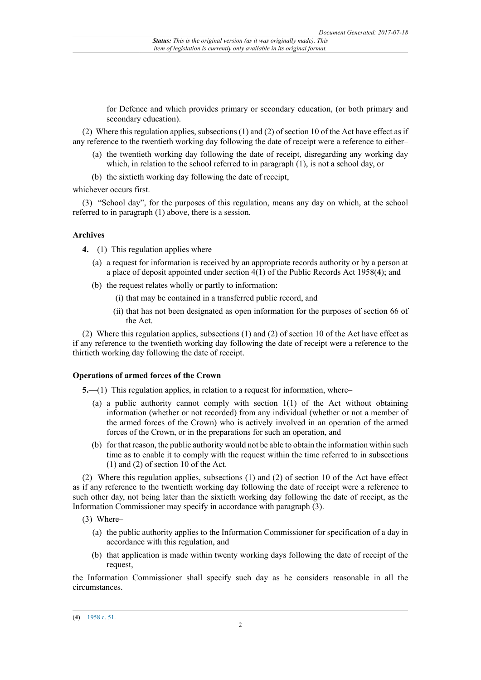for Defence and which provides primary or secondary education, (or both primary and secondary education).

(2) Where this regulation applies, subsections (1) and (2) of section 10 of the Act have effect as if any reference to the twentieth working day following the date of receipt were a reference to either–

- (a) the twentieth working day following the date of receipt, disregarding any working day which, in relation to the school referred to in paragraph (1), is not a school day, or
- (b) the sixtieth working day following the date of receipt,

whichever occurs first.

(3) "School day", for the purposes of this regulation, means any day on which, at the school referred to in paragraph (1) above, there is a session.

#### **Archives**

**4.**—(1) This regulation applies where–

- (a) a request for information is received by an appropriate records authority or by a person at a place of deposit appointed under section 4(1) of the Public Records Act 1958(**4**); and
- (b) the request relates wholly or partly to information:
	- (i) that may be contained in a transferred public record, and
	- (ii) that has not been designated as open information for the purposes of section 66 of the Act.

(2) Where this regulation applies, subsections (1) and (2) of section 10 of the Act have effect as if any reference to the twentieth working day following the date of receipt were a reference to the thirtieth working day following the date of receipt.

#### **Operations of armed forces of the Crown**

**5.**—(1) This regulation applies, in relation to a request for information, where–

- (a) a public authority cannot comply with section 1(1) of the Act without obtaining information (whether or not recorded) from any individual (whether or not a member of the armed forces of the Crown) who is actively involved in an operation of the armed forces of the Crown, or in the preparations for such an operation, and
- (b) for that reason, the public authority would not be able to obtain the information within such time as to enable it to comply with the request within the time referred to in subsections (1) and (2) of section 10 of the Act.

(2) Where this regulation applies, subsections (1) and (2) of section 10 of the Act have effect as if any reference to the twentieth working day following the date of receipt were a reference to such other day, not being later than the sixtieth working day following the date of receipt, as the Information Commissioner may specify in accordance with paragraph (3).

- (3) Where–
	- (a) the public authority applies to the Information Commissioner for specification of a day in accordance with this regulation, and
	- (b) that application is made within twenty working days following the date of receipt of the request,

the Information Commissioner shall specify such day as he considers reasonable in all the circumstances.

<sup>(</sup>**4**) [1958 c. 51.](http://www.legislation.gov.uk/id/ukpga/1958/51)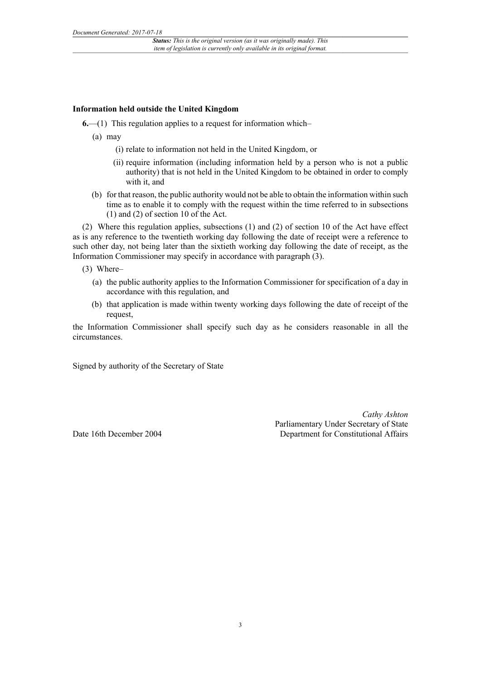## **Information held outside the United Kingdom**

**6.**—(1) This regulation applies to a request for information which–

- (a) may
	- (i) relate to information not held in the United Kingdom, or
	- (ii) require information (including information held by a person who is not a public authority) that is not held in the United Kingdom to be obtained in order to comply with it, and
- (b) for that reason, the public authority would not be able to obtain the information within such time as to enable it to comply with the request within the time referred to in subsections (1) and (2) of section 10 of the Act.

(2) Where this regulation applies, subsections (1) and (2) of section 10 of the Act have effect as is any reference to the twentieth working day following the date of receipt were a reference to such other day, not being later than the sixtieth working day following the date of receipt, as the Information Commissioner may specify in accordance with paragraph (3).

- (3) Where–
	- (a) the public authority applies to the Information Commissioner for specification of a day in accordance with this regulation, and
	- (b) that application is made within twenty working days following the date of receipt of the request,

the Information Commissioner shall specify such day as he considers reasonable in all the circumstances.

Signed by authority of the Secretary of State

Date 16th December 2004

*Cathy Ashton* Parliamentary Under Secretary of State Department for Constitutional Affairs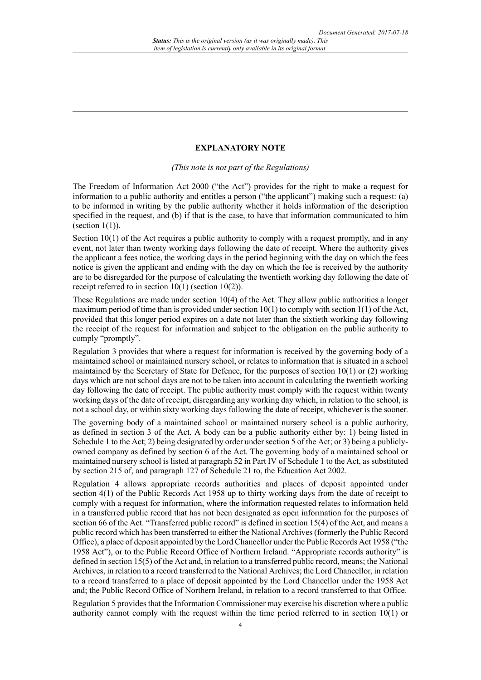### **EXPLANATORY NOTE**

*(This note is not part of the Regulations)*

The Freedom of Information Act 2000 ("the Act") provides for the right to make a request for information to a public authority and entitles a person ("the applicant") making such a request: (a) to be informed in writing by the public authority whether it holds information of the description specified in the request, and (b) if that is the case, to have that information communicated to him (section  $1(1)$ ).

Section  $10(1)$  of the Act requires a public authority to comply with a request promptly, and in any event, not later than twenty working days following the date of receipt. Where the authority gives the applicant a fees notice, the working days in the period beginning with the day on which the fees notice is given the applicant and ending with the day on which the fee is received by the authority are to be disregarded for the purpose of calculating the twentieth working day following the date of receipt referred to in section 10(1) (section 10(2)).

These Regulations are made under section 10(4) of the Act. They allow public authorities a longer maximum period of time than is provided under section  $10(1)$  to comply with section  $1(1)$  of the Act, provided that this longer period expires on a date not later than the sixtieth working day following the receipt of the request for information and subject to the obligation on the public authority to comply "promptly".

Regulation 3 provides that where a request for information is received by the governing body of a maintained school or maintained nursery school, or relates to information that is situated in a school maintained by the Secretary of State for Defence, for the purposes of section 10(1) or (2) working days which are not school days are not to be taken into account in calculating the twentieth working day following the date of receipt. The public authority must comply with the request within twenty working days of the date of receipt, disregarding any working day which, in relation to the school, is not a school day, or within sixty working days following the date of receipt, whichever is the sooner.

The governing body of a maintained school or maintained nursery school is a public authority, as defined in section 3 of the Act. A body can be a public authority either by: 1) being listed in Schedule 1 to the Act; 2) being designated by order under section 5 of the Act; or 3) being a publiclyowned company as defined by section 6 of the Act. The governing body of a maintained school or maintained nursery school is listed at paragraph 52 in Part IV of Schedule 1 to the Act, as substituted by section 215 of, and paragraph 127 of Schedule 21 to, the Education Act 2002.

Regulation 4 allows appropriate records authorities and places of deposit appointed under section 4(1) of the Public Records Act 1958 up to thirty working days from the date of receipt to comply with a request for information, where the information requested relates to information held in a transferred public record that has not been designated as open information for the purposes of section 66 of the Act. "Transferred public record" is defined in section 15(4) of the Act, and means a public record which has been transferred to either the National Archives (formerly the Public Record Office), a place of deposit appointed by the Lord Chancellor under the Public Records Act 1958 ("the 1958 Act"), or to the Public Record Office of Northern Ireland. "Appropriate records authority" is defined in section 15(5) of the Act and, in relation to a transferred public record, means; the National Archives, in relation to a record transferred to the National Archives; the Lord Chancellor, in relation to a record transferred to a place of deposit appointed by the Lord Chancellor under the 1958 Act and; the Public Record Office of Northern Ireland, in relation to a record transferred to that Office.

Regulation 5 provides that the Information Commissioner may exercise his discretion where a public authority cannot comply with the request within the time period referred to in section 10(1) or